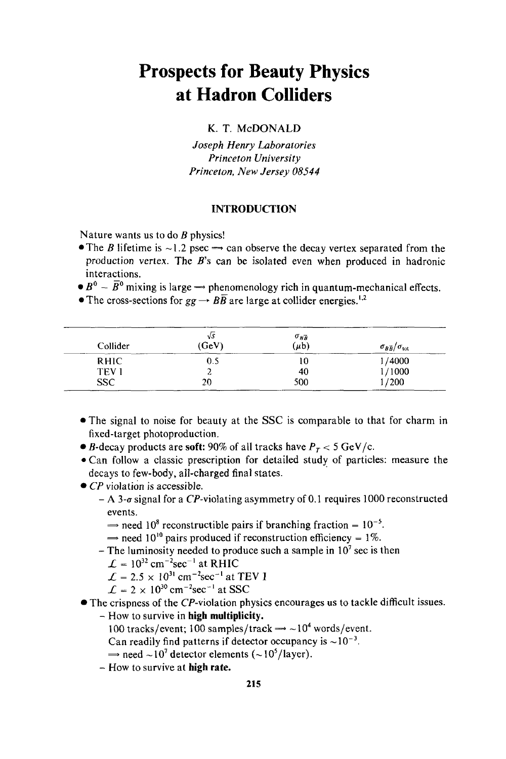# **Prospects for Beauty Physics at Hadron Colliders**

**K.** T. **McDONALD** 

*Joseph* Henry Laboratories Princeton University Princeton, *New* Jersey *08544* 

## **INTRODUCTION**

Nature wants us to do *B* physics!

- The *B* lifetime is  $\sim$  1.2 psec  $\rightarrow$  can observe the decay vertex separated from the production vertex. The *B's* can be isolated even when produced in hadronic interactions.
- $\bullet B^0 \overline{B}^0$  mixing is large  $\rightarrow$  phenomenology rich in quantum-mechanical effects.

The cross-sections for  $gg \to B\overline{B}$  are large at collider energies.<sup>1,2</sup>

| Collider     | $\sqrt{s}$<br>(GeV) | $\sigma_{B\overline{B}}$<br>$(\mu b)$ | $\sigma_{B\overline{B}}/\sigma_{\rm tot}$ |
|--------------|---------------------|---------------------------------------|-------------------------------------------|
| <b>RHIC</b>  | 0.5                 | 10                                    | 1/4000                                    |
| <b>TEV I</b> | ے                   | 40                                    | 1/1000                                    |
| <b>SSC</b>   | 20                  | 500                                   | 1/200                                     |

- @The signal to noise for beauty at the SSC is comparable to that for charm in fixed-target photoproduction.
- $\bullet$  *B*-decay products are **soft:** 90% of all tracks have  $P_T < 5$  GeV/c.
- \*Can follow a classic prescription for detailed study of particles: measure the decays to few-body, all-charged final states.
- *CP* violation is accessible.
	- A 3- $\sigma$  signal for a CP-violating asymmetry of 0.1 requires 1000 reconstructed events. A 3-*a* signal for a CP-violating asymmetry of 0.1 requires 1000<br>events.<br>  $\rightarrow$  need 10<sup>8</sup> reconstructible pairs if branching fraction = 10<sup>-5</sup>.
		- events.<br>  $\Rightarrow$  need 10<sup>8</sup> reconstructible pairs if branching fraction = 10<sup>-5</sup>.<br>  $\Rightarrow$  need 10<sup>10</sup> pairs produced if reconstruction efficiency = 1%.
	- $\Rightarrow$  need 10<sup>10</sup> pairs produced if reconstruction efficiency = 1%.<br>- The luminosity needed to produce such a sample in 10<sup>7</sup> sec is then
		-
		- $\mathcal{L} = 10^{32}$  cm<sup>-2</sup>sec<sup>-1</sup> at RHIC
		- $\mathcal{L} = 2.5 \times 10^{31}$  cm<sup>-2</sup>sec<sup>-1</sup> at TEV I
		- $\mathcal{L} = 2 \times 10^{30} \text{ cm}^{-2} \text{sec}^{-1}$  at SSC
- The crispness of the CP-violation physics encourages **us** to tackle difficult issues.
	- How to survive in **high multiplicity.** 
		- 100 tracks/event; 100 samples/track  $\rightarrow$  ~10<sup>4</sup> words/event.
		- Can readily find patterns if detector occupancy is  $\sim 10^{-3}$ .
		- $\rightarrow$  need  $\sim$ 10<sup>7</sup> detector elements ( $\sim$ 10<sup>5</sup>/layer).
	- How to survive at **high rate.**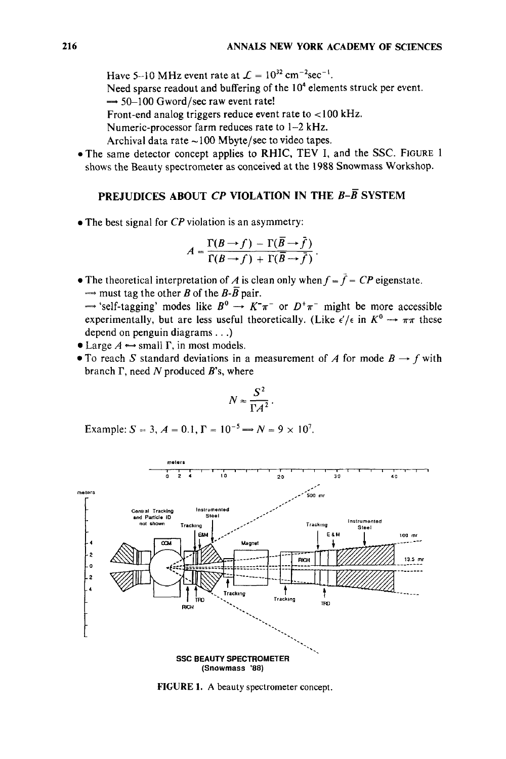Have 5-10 MHz event rate at  $\mathcal{L} = 10^{32} \text{ cm}^{-2} \text{sec}^{-1}$ .

Need sparse readout and buffering of the 10<sup>4</sup> elements struck per event. Have 5-10 MHz event rate at  $L = 10$ .<br>Need sparse readout and buffering of t<br> $\rightarrow$  50-100 Gword/sec raw event rate!

Front-end analog triggers reduce event rate to  $<$ 100 kHz.

Numeric-processor farm reduces rate to 1-2 kHz.

Archival data rate  $\sim$  100 Mbyte/sec to video tapes.

\*The same detector concept applies to RHIC, **TEV** I, and the **SSC. FIGURE** 1 shows the Beauty spectrometer as conceived at the 1988 Snowmass Workshop.

# **PREJUDICES ABOUT** *CP* **VIOLATION IN THE** *B-B* **SYSTEM**

*0* The best signal for *CP* violation is an asymmetry:

$$
A = \frac{\Gamma(B \to f) - \Gamma(\overline{B} \to \overline{f})}{\Gamma(B \to f) + \Gamma(\overline{B} \to \overline{f})}.
$$

• The theoretical interpretation of *A* is clean only when  $f = \overline{f} = CP$  eigenstate. The theoretical interpretation of A is cle<br>  $\Rightarrow$  must tag the other B of the B-B pair. The theoretical interpretation of A is clean only when  $f = f = CP$  eigenstate.<br>  $\Rightarrow$  must tag the other B of the B-B pair.<br>  $\Rightarrow$  'self-tagging' modes like  $B^0 \rightarrow K^-\pi^-$  or  $D^+\pi^-$  might be more accessible

where the start of the *B-B* pair.<br>  $\rightarrow$  'self-tagging' modes like  $B^0 \rightarrow K^-\pi^-$  or  $D^+\pi^-$  might be more accessible experimentally, but are less useful theoretically. (Like  $\epsilon'/\epsilon$  in  $K^0 \rightarrow \pi\pi$  these depend on penguin diagrams. . .) experimentally, but are less useful theoretically. (Like  $\epsilon'/\epsilon$  in  $K^0 \to \pi\pi$  these depend on penguin diagrams...)<br>
• Large  $A \leftrightarrow \text{small } \Gamma$ , in most models.

- 
- To reach *S* standard deviations in a measurement of *A* for mode  $B \rightarrow f$  with branch  $\Gamma$ , need *N* produced *B*'s, where

$$
N \approx \frac{S^2}{\Gamma A^2}.
$$

Example:  $S = 3$ ,  $A = 0.1$ ,  $\Gamma = 10^{-5}$   $\Rightarrow N = 9 \times 10^{7}$ .



**FIGURE 1. A** beauty spectrometer concept.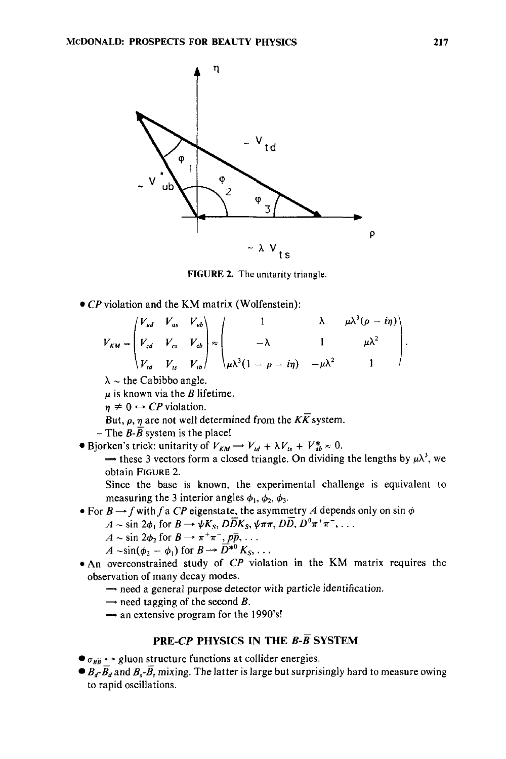

**FIGURE 2. The** unitarity triangle.

CP violation and the **KM** matrix (Wolfenstein):

violation and the KM matrix (Wolfenstein):  
\n
$$
V_{KM} = \begin{pmatrix} V_{ud} & V_{us} & V_{ub} \\ V_{cd} & V_{cs} & V_{cb} \\ V_{td} & V_{ts} & V_{tb} \end{pmatrix} \approx \begin{pmatrix} 1 & \lambda & \mu \lambda^3 (\rho - i\eta) \\ -\lambda & 1 & \mu \lambda^2 \\ \mu \lambda^3 (1 - \rho - i\eta) & -\mu \lambda^2 & 1 \end{pmatrix}.
$$
\n
$$
\lambda \sim \text{the Cabibbo angle.}
$$

 $\lambda \sim$  the Cabibbo angle.

 $\mu$  is known via the *B* lifetime.

 $\eta \neq 0 \leftrightarrow CP$  violation.

But,  $\rho$ ,  $\eta$  are not well determined from the  $K\overline{K}$  system.

- The  $\overline{B}$ - $\overline{B}$  system is the place!
- Bjorken's trick: unitarity of  $V_{KM} \rightarrow V_{td} + \lambda V_{ts} + V_{ub}^* \approx 0$ .

 $\rightarrow$  these 3 vectors form a closed triangle. On dividing the lengths by  $\mu \lambda^3$ , we obtain **FIGURE** 2.

Since the base is known, the experimental challenge is equivalent to measuring the 3 interior angles  $\phi_1$ ,  $\phi_2$ ,  $\phi_3$ .

- For  $B \rightarrow f$  with f a CP eigenstate, the asymmetry A depends only on sin  $\phi$
- measuring the 3 interior angles  $\phi_1$ ,  $\phi_2$ ,  $\phi_3$ .<br>  $B \rightarrow f$  with f a CP eigenstate, the asymmetry A depends<br>  $A \sim \sin 2\phi_1$  for  $B \rightarrow \psi K_S$ ,  $D\overline{D}K_S$ ,  $\psi \pi \pi$ ,  $D\overline{D}$ ,  $D^0 \pi^+ \pi^-$ , ...
	-
	-
- For *B*  $\rightarrow$  *f* with *f* a *CP* eigenstate, the asymmetry *A* depends only on sin  $\phi$ <br> *A* ~ sin 2 $\phi_1$  for *B*  $\rightarrow \psi K_S$ ,  $D\overline{D}K_S$ ,  $\psi \pi \pi$ ,  $D\overline{D}$ ,  $D^0 \pi^+ \pi^-$ , . . .<br> *A* ~ sin( $\phi_2$   $\phi_1$ ) for  $B \rightarrow \overline{$ observation of many decay modes.
	- Exation of many decay modes.<br>  $\Rightarrow$  need a general purpose detector with particle identification.<br>  $\Rightarrow$  need tagging of the second B.
	-
	- $\Rightarrow$  need tagging of the second *B*.<br> $\Rightarrow$  an extensive program for the 1990's!

# **PRE-CP PHYSICS IN THE** *B-B* **SYSTEM**

 $\bullet$   $\sigma_{\beta\overline{B}} \leftrightarrow$  gluon structure functions at collider energies.

 $\bullet$   $B_d$ - $\overline{B}_d$  and  $B_s$ - $\overline{B}_s$  mixing. The latter is large but surprisingly hard to measure owing to rapid oscillations.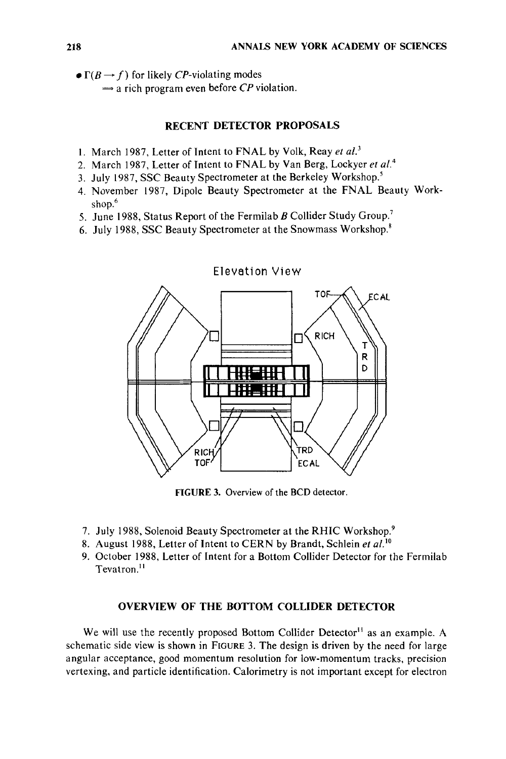- $\bullet \Gamma(B \rightarrow f)$  for likely *CP*-violating modes
	- $\rightarrow$  a rich program even before *CP* violation.

# **RECENT DETECTOR PROPOSALS**

- **1.** March 1987, Letter of Intent to FNAL by Volk, Reay *et uL3*
- 2. March 1987, Letter of Intent to FNAL by Van Berg, Lockyer *et al.4*
- 3. July 1987, SSC Beauty Spectrometer at the Berkeley Workshop.<sup>5</sup>
- 4. November 1987, Dipole Beauty Spectrometer at the FNAL Beauty Workshop.<sup>6</sup>
- 5. June 1988, Status Report of the Fermilab *B* Collider Study Group.'
- 6. July 1988, SSC Beauty Spectrometer at the Snowmass Workshop.\*



**FIGURE 3.** Overview of the **BCD** detector.

- 7. July 1988, Solenoid Beauty Spectrometer at the RHIC Workshop.'
- 8. August 1988, Letter of Intent to CERN by Brandt, Schlein *et al.*<sup>10</sup>
- 9. October 1988, Letter of Intent for a Bottom Collider Detector for the Fermilab Tevatron.<sup>11</sup>

### **OVERVIEW OF THE BOTTOM COLLIDER DETECTOR**

We will use the recently proposed Bottom Collider Detector" as **an** example. **A**  schematic side view is shown **in** FIGURE **3.** The design is driven by the need for large angular acceptance, good momentum resolution for low-momentum tracks, precision vertexing, and particle identification. Calorimetry is not important except for electron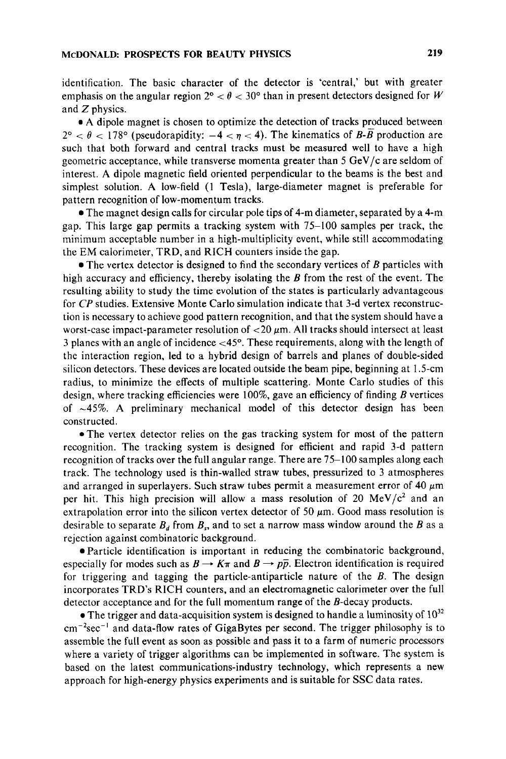identification. The basic character of the detector is 'central,' but with greater emphasis on the angular region  $2^{\circ} < \theta < 30^{\circ}$  than in present detectors designed for W and *Z* physics.

**a** A dipole magnet is chosen to optimize the detection of tracks produced between  $2^{\circ} < \theta < 178^{\circ}$  (pseudorapidity:  $-4 < \eta < 4$ ). The kinematics of *B*-*B* production are such that both forward and central tracks must be measured well to have a high geometric acceptance, while transverse momenta greater than *5* GeV/c are seldom of interest. A dipole magnetic field oriented perpendicular to the beams is the best and simplest solution. A low-field **(1** Tesla), large-diameter magnet is preferable for pattern recognition of low-momentum tracks.

*0* The magnet design calls for circular pole tips of 4-m diameter, separated by a 4-m gap. This large gap permits a tracking system with 75-100 samples per track, the minimum acceptable number in a high-multiplicity event, while still accommodating the EM calorimeter, **TRD,** and RICH counters inside the gap.

*0* The vertex detector is designed to find the secondary vertices of *B* particles with high accuracy and efficiency, thereby isolating the *B* from the rest of the event. The resulting ability to study the time evolution of the states is particularly advantageous for *CP* studies. Extensive Monte Carlo simulation indicate that 3-d vertex reconstruction is necessary to achieve good pattern recognition, and that the system should have a worst-case impact-parameter resolution of  $<$  20  $\mu$ m. All tracks should intersect at least 3 planes with an angle of incidence <45°. These requirements, along with the length of the interaction region, led to a hybrid design of barrels and planes of double-sided silicon detectors. These devices are located outside the beam pipe, beginning at 1.5-cm radius, to minimize the effects of multiple scattering. Monte Carlo studies of this design, where tracking efficiencies were loo%, gave an efficiency of finding *B* vertices of  $\sim$ 45%. A preliminary mechanical model of this detector design has been constructed.

• The vertex detector relies on the gas tracking system for most of the pattern recognition. The tracking system is designed for efficient and rapid 3-d pattern recognition of tracks over the full angular range. There are 75-100 samples along each track. The technology used is thin-walled straw tubes, pressurized to 3 atmospheres and arranged in superlayers. Such straw tubes permit a measurement error of 40  $\mu$ m per hit. This high precision will allow a mass resolution of 20  $MeV/c^2$  and an extrapolation error into the silicon vertex detector of 50  $\mu$ m. Good mass resolution is desirable to separate  $B_d$  from  $B_s$ , and to set a narrow mass window around the *B* as a rejection against combinatoric background.

Particle identification is important in reducing the combinatoric background, especially for modes such as  $B \to K\pi$  and  $B \to p\bar{p}$ . Electron identification is required for triggering and tagging the particle-antiparticle nature of the *B.* The design incorporates TRD's RICH counters, and an electromagnetic calorimeter over the full detector acceptance and for the full momentum range of the B-decay products.

• The trigger and data-acquisition system is designed to handle a luminosity of  $10^{32}$  $cm^{-2}sec^{-1}$  and data-flow rates of GigaBytes per second. The trigger philosophy is to assemble the full event as soon as possible and pass it to a farm of numeric processors where a variety of trigger algorithms can be implemented in software. The system is based on the latest communications-industry technology, which represents a new approach for high-energy physics experiments and is suitable for SSC data rates.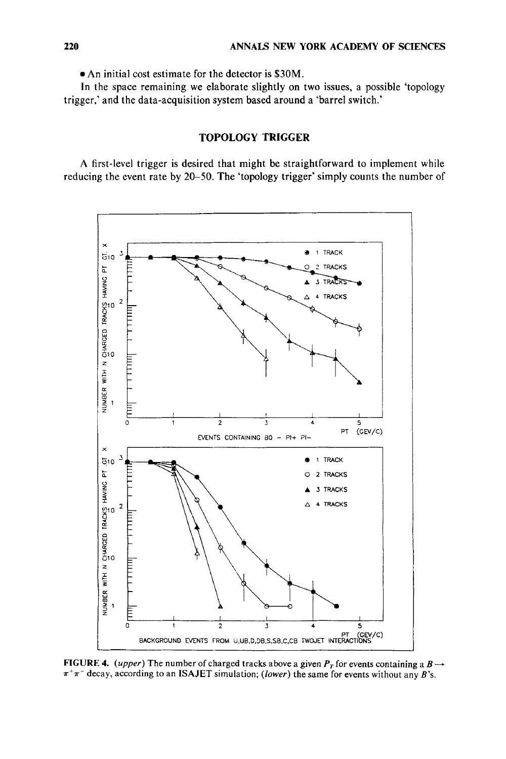**An** initial cost estimate for the detector **is \$30M.** 

In the space remaining we elaborate slightly on two issues, a possible 'topology trigger,' and the data-acquisition system based around a 'barrel switch.'

# **TOPOLOGY TRIGGER**

**A** first-level trigger is desired that might be straightforward to implement while reducing the event rate by 20-50. The 'topology trigger' simply counts the number of



**FIGURE 4.** (upper) The number of charged tracks above a given  $P<sub>T</sub>$  for events containing a  $B \rightarrow$  $\pi^+\pi^-$  decay, according to an **ISAJET** simulation; *(lower)* the same for events without any *B*'s.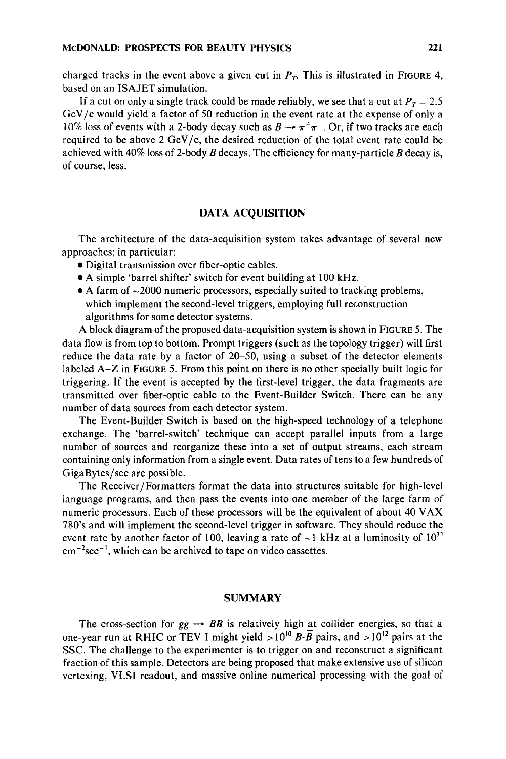charged tracks in the event above a given cut in  $P<sub>T</sub>$ . This is illustrated in FIGURE 4, based on an ISAJET simulation.

If a cut on only a single track could be made reliably, we see that a cut at  $P_T = 2.5$ GeV/c would yield a factor of *50* reduction in the event rate at the expense of only a 10% loss of events with a 2-body decay such as  $B \rightarrow \pi^+\pi^-$ . Or, if two tracks are each required to be above 2  $GeV/c$ , the desired reduction of the total event rate could be achieved with 40% loss of 2-body *B* decays. The efficiency for many-particle *B* decay is, of course. less.

## **DATA ACQUISITION**

The architecture of the data-acquisition system takes advantage of several new approaches: in particular:

- *0* Digital transmission over fiber-optic cables.
- **A** simple 'barrel shifter' switch for event building at 100 kHz.
- A farm of  $\sim$ 2000 numeric processors, especially suited to tracking problems, which implement the second-level triggers, employing full reconstruction algorithms for some detector systems.

**A** block diagram of the proposed data-acquisition system is shown in FIGURE 5. The data flow is from top to bottom. Prompt triggers (such as the topology trigger) will first reduce the data rate by a factor of 20-50, using a subset of the detector elements labeled **A-Z** in FIGURE 5.From this point on there is no other specially built logic for triggering. If the event is accepted by the first-level trigger, the data fragments are transmitted over fiber-optic cable to the Event-Builder Switch. There can be any number of data sources from each detector system.

The Event-Builder Switch is based on the high-speed technology of a telephone exchange. The 'barrel-switch' technique can accept parallel inputs from a large number of sources and reorganize these into a set of output streams, each stream containing only information from a single event. Data rates of tens to a few hundreds of GigaBytes/sec are possible.

The Receiver/Formatters format the data into structures suitable for high-level language programs, and then pass the events into one member of the large farm of numeric processors. Each of these processors will be the equivalent of about 40 VAX 780's and will implement the second-level trigger in software. They should reduce the event rate by another factor of 100, leaving a rate of  $\sim$ 1 kHz at a luminosity of  $10^{32}$  $cm^{-2}sec^{-1}$ , which can be archived to tape on video cassettes.

#### **SUMMARY**

The cross-section for  $gg \to BB$  is relatively high at collider energies, so that a one-year run at RHIC or TEV I might yield  $>10^{10}$  B-B pairs, and  $>10^{12}$  pairs at the **SSC.** The challenge to the experimenter is to trigger on and reconstruct a significant fraction of this sample. Detectors are being proposed that make extensive use of silicon vertexing, VLSI readout, and massive online numerical processing with the goal of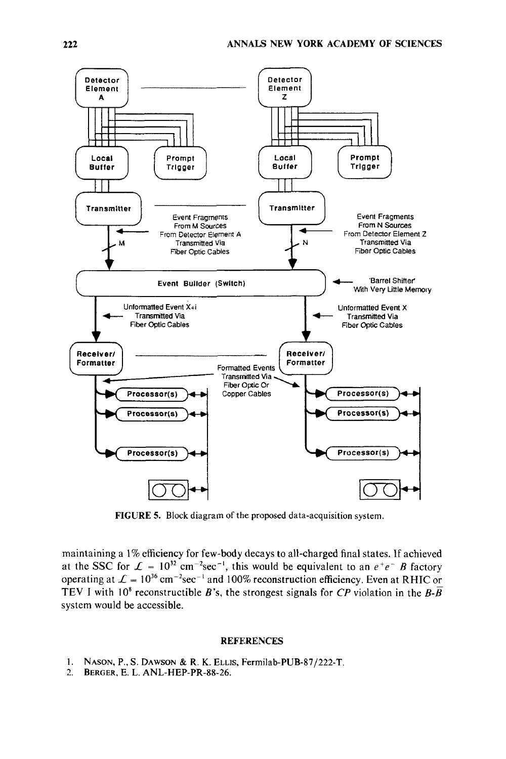

**FIGURE 5. Block diagram of the proposed data-acquisition system.** 

**maintaining a** 1% **efficiency for few-body decays to all-charged final states. If achieved**  at the SSC for  $\mathcal{L} = 10^{32}$  cm<sup>-2</sup>sec<sup>-1</sup>, this would be equivalent to an  $e^+e^-$  *B* factory operating at  $\mathcal{L} = 10^{36} \text{ cm}^{-2} \text{sec}^{-1}$  and 100% reconstruction efficiency. Even at RHIC or **TEV** I with 10<sup>8</sup> reconstructible *B*'s, the strongest signals for *CP* violation in the *B*- $\overline{B}$ **system would be accessible.** 

#### **REFERENCES**

- **1. NASON, P., S. DAWSON** & **R. K. ELLIS, FermiIab-PUB-87/222-T.**
- 2. **BERGER, E.** L. **ANL-HEP-PR-88-26.**